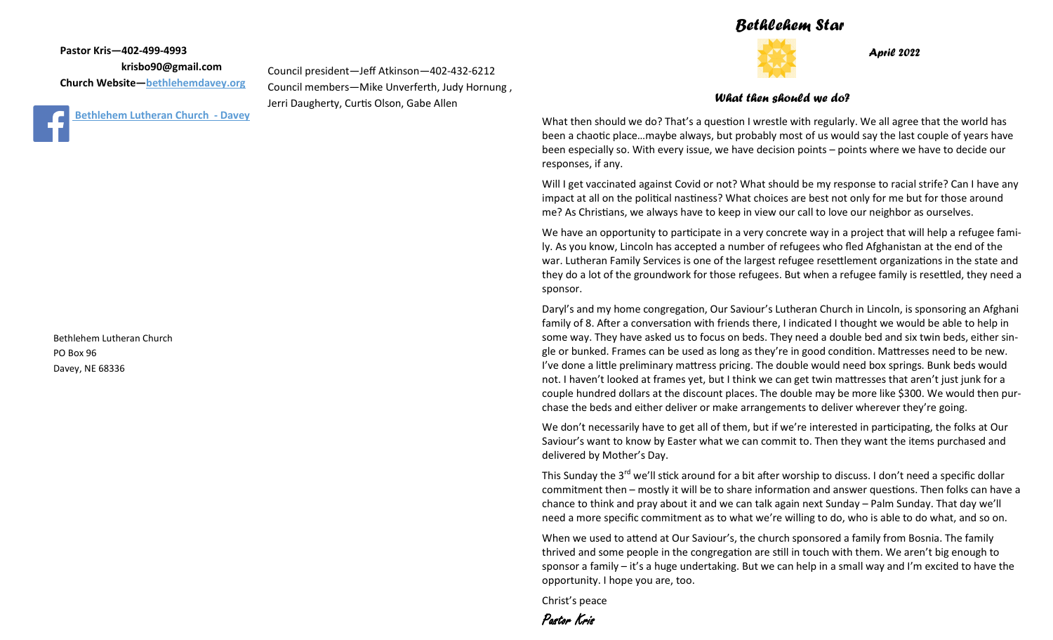## *Bethlehem Star*



*April 2022*

#### *What then should we do?*

What then should we do? That's a question I wrestle with regularly. We all agree that the world has been a chaotic place…maybe always, but probably most of us would say the last couple of years have been especially so. With every issue, we have decision points – points where we have to decide our responses, if any.

Will I get vaccinated against Covid or not? What should be my response to racial strife? Can I have any impact at all on the political nastiness? What choices are best not only for me but for those around me? As Christians, we always have to keep in view our call to love our neighbor as ourselves.

We have an opportunity to participate in a very concrete way in a project that will help a refugee family. As you know, Lincoln has accepted a number of refugees who fled Afghanistan at the end of the war. Lutheran Family Services is one of the largest refugee resettlement organizations in the state and they do a lot of the groundwork for those refugees. But when a refugee family is resettled, they need a sponsor.

Daryl's and my home congregation, Our Saviour's Lutheran Church in Lincoln, is sponsoring an Afghani family of 8. After a conversation with friends there, I indicated I thought we would be able to help in some way. They have asked us to focus on beds. They need a double bed and six twin beds, either single or bunked. Frames can be used as long as they're in good condition. Mattresses need to be new. I've done a little preliminary mattress pricing. The double would need box springs. Bunk beds would not. I haven't looked at frames yet, but I think we can get twin mattresses that aren't just junk for a couple hundred dollars at the discount places. The double may be more like \$300. We would then purchase the beds and either deliver or make arrangements to deliver wherever they're going.

We don't necessarily have to get all of them, but if we're interested in participating, the folks at Our Saviour's want to know by Easter what we can commit to. Then they want the items purchased and delivered by Mother's Day.

This Sunday the 3<sup>rd</sup> we'll stick around for a bit after worship to discuss. I don't need a specific dollar commitment then – mostly it will be to share information and answer questions. Then folks can have a chance to think and pray about it and we can talk again next Sunday – Palm Sunday. That day we'll need a more specific commitment as to what we're willing to do, who is able to do what, and so on.

When we used to attend at Our Saviour's, the church sponsored a family from Bosnia. The family thrived and some people in the congregation are still in touch with them. We aren't big enough to sponsor a family – it's a huge undertaking. But we can help in a small way and I'm excited to have the opportunity. I hope you are, too.

Christ's peace

Pastor Kris

**Pastor Kris—402-499-4993 krisbo90@gmail.com Church Website—<bethlehemdavey.org>**

**[B](https://www.facebook.com/bethlehemdavey/)ethlehem Lutheran Church - Davey** 

Council president—Jeff Atkinson—402-432-6212 Council members—Mike Unverferth, Judy Hornung , Jerri Daugherty, Curtis Olson, Gabe Allen

Bethlehem Lutheran Church PO Box 96 Davey, NE 68336